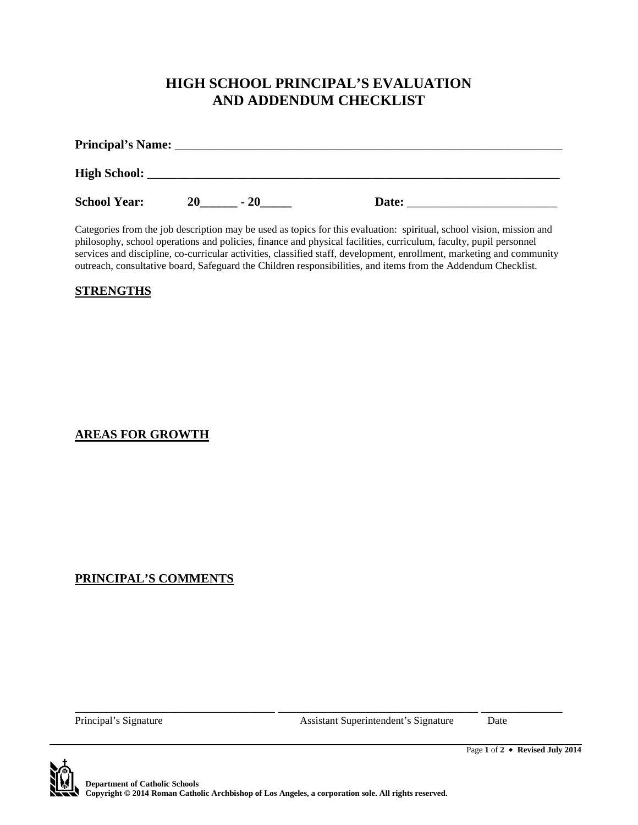## **HIGH SCHOOL PRINCIPAL'S EVALUATION AND ADDENDUM CHECKLIST**

| <b>Principal's Name:</b> |    |       |       |
|--------------------------|----|-------|-------|
|                          |    |       |       |
| <b>High School:</b>      |    |       |       |
| <b>School Year:</b>      | 20 | $-20$ | Date: |

Categories from the job description may be used as topics for this evaluation: spiritual, school vision, mission and philosophy, school operations and policies, finance and physical facilities, curriculum, faculty, pupil personnel services and discipline, co-curricular activities, classified staff, development, enrollment, marketing and community outreach, consultative board, Safeguard the Children responsibilities, and items from the Addendum Checklist.

#### **STRENGTHS**

### **AREAS FOR GROWTH**

### **PRINCIPAL'S COMMENTS**

Principal's Signature Date Assistant Superintendent's Signature Date

Page **1** of **2 Revised July 2014**



\_\_\_\_\_\_\_\_\_\_\_\_\_\_\_\_\_\_\_\_\_\_\_\_\_\_\_\_\_\_\_\_ \_\_\_\_\_\_\_\_\_\_\_\_\_\_\_\_\_\_\_\_\_\_\_\_\_\_\_\_\_\_\_\_ \_\_\_\_\_\_\_\_\_\_\_\_\_